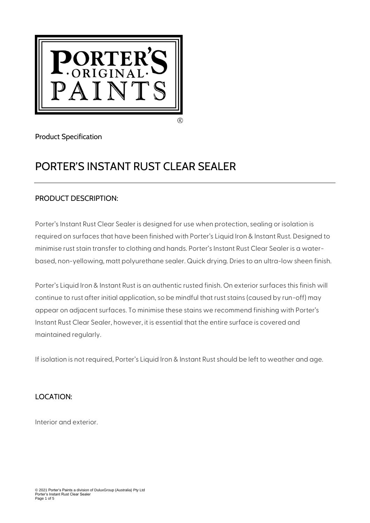

Product Specification

# PORTER'S INSTANT RUST CLEAR SEALER

# PRODUCT DESCRIPTION:

Porter's Instant Rust Clear Sealer is designed for use when protection, sealing or isolation is required on surfaces that have been finished with Porter's Liquid Iron & Instant Rust. Designed to minimise rust stain transfer to clothing and hands. Porter's Instant Rust Clear Sealer is a waterbased, non-yellowing, matt polyurethane sealer. Quick drying. Dries to an ultra-low sheen finish.

Porter's Liquid Iron & Instant Rust is an authentic rusted finish. On exterior surfaces this finish will continue to rust after initial application, so be mindful that rust stains (caused by run-off) may appear on adjacent surfaces. To minimise these stains we recommend finishing with Porter's Instant Rust Clear Sealer, however, it is essential that the entire surface is covered and maintained regularly.

If isolation is not required, Porter's Liquid Iron & Instant Rust should be left to weather and age.

# LOCATION:

Interior and exterior.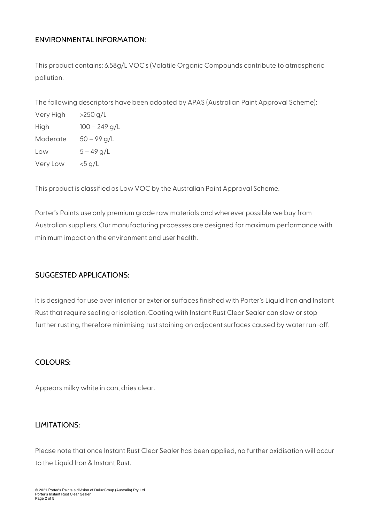## ENVIRONMENTAL INFORMATION:

This product contains: 6.58g/L VOC's (Volatile Organic Compounds contribute to atmospheric pollution.

The following descriptors have been adopted by APAS (Australian Paint Approval Scheme):

| Very High | >250 g/L        |
|-----------|-----------------|
| High      | $100 - 249$ g/L |
| Moderate  | $50 - 99$ g/L   |
| Low       | $5 - 49$ g/L    |
| Very Low  | $<$ 5 g/L       |

This product is classified as Low VOC by the Australian Paint Approval Scheme.

Porter's Paints use only premium grade raw materials and wherever possible we buy from Australian suppliers. Our manufacturing processes are designed for maximum performance with minimum impact on the environment and user health.

## SUGGESTED APPLICATIONS:

It is designed for use over interior or exterior surfaces finished with Porter's Liquid Iron and Instant Rust that require sealing or isolation. Coating with Instant Rust Clear Sealer can slow or stop further rusting, therefore minimising rust staining on adjacent surfaces caused by water run-off.

#### COLOURS:

Appears milky white in can, dries clear.

#### LIMITATIONS:

Please note that once Instant Rust Clear Sealer has been applied, no further oxidisation will occur to the Liquid Iron & Instant Rust.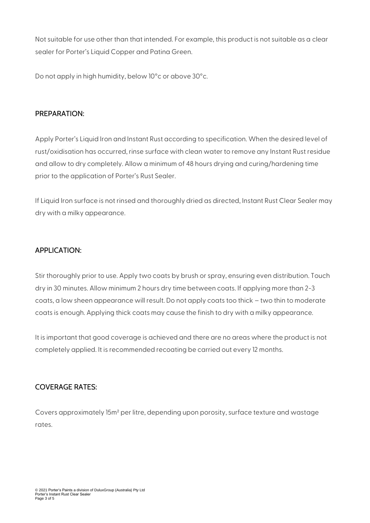Not suitable for use other than that intended. For example, this product is not suitable as a clear sealer for Porter's Liquid Copper and Patina Green.

Do not apply in high humidity, below 10°c or above 30°c.

## PREPARATION:

Apply Porter's Liquid Iron and Instant Rust according to specification. When the desired level of rust/oxidisation has occurred, rinse surface with clean water to remove any Instant Rust residue and allow to dry completely. Allow a minimum of 48 hours drying and curing/hardening time prior to the application of Porter's Rust Sealer.

If Liquid Iron surface is not rinsed and thoroughly dried as directed, Instant Rust Clear Sealer may dry with a milky appearance.

# APPLICATION:

Stir thoroughly prior to use. Apply two coats by brush or spray, ensuring even distribution. Touch dry in 30 minutes. Allow minimum 2 hours dry time between coats. If applying more than 2-3 coats, a low sheen appearance will result. Do not apply coats too thick – two thin to moderate coats is enough. Applying thick coats may cause the finish to dry with a milky appearance.

It is important that good coverage is achieved and there are no areas where the product is not completely applied. It is recommended recoating be carried out every 12 months.

# COVERAGE RATES:

Covers approximately 15m² per litre, depending upon porosity, surface texture and wastage rates.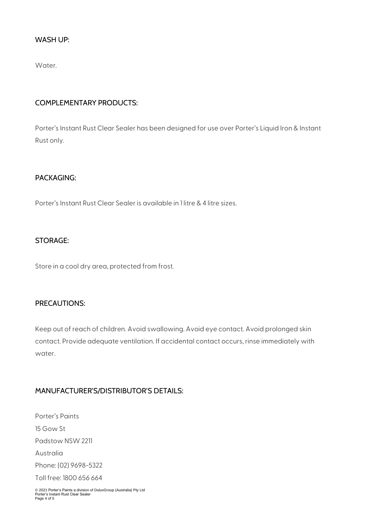#### WASH UP:

Water.

## COMPLEMENTARY PRODUCTS:

Porter's Instant Rust Clear Sealer has been designed for use over Porter's Liquid Iron & Instant Rust only.

## PACKAGING:

Porter's Instant Rust Clear Sealer is available in 1 litre & 4 litre sizes.

#### STORAGE:

Store in a cool dry area, protected from frost.

## PRECAUTIONS:

Keep out of reach of children. Avoid swallowing. Avoid eye contact. Avoid prolonged skin contact. Provide adequate ventilation. If accidental contact occurs, rinse immediately with water.

## MANUFACTURER'S/DISTRIBUTOR'S DETAILS:

Porter's Paints 15 Gow St Padstow NSW 2211 Australia Phone: (02) 9698-5322 Toll free: 1800 656 664

© 2021 Porter's Paints a division of DuluxGroup (Australia) Pty Ltd Porter's Instant Rust Clear Sealer Page 4 of 5